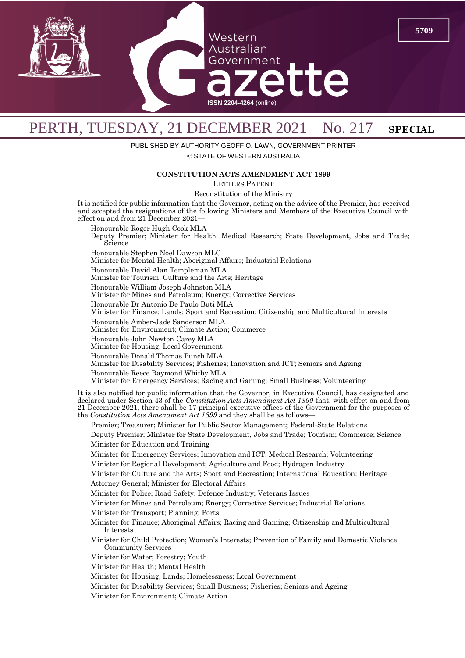

## PERTH, TUESDAY, 21 DECEMBER 2021 No. 217 SPECIAL

PUBLISHED BY AUTHORITY GEOFF O. LAWN, GOVERNMENT PRINTER

© STATE OF WESTERN AUSTRALIA

## **CONSTITUTION ACTS AMENDMENT ACT 1899**

LETTERS PATENT

Reconstitution of the Ministry

It is notified for public information that the Governor, acting on the advice of the Premier, has received and accepted the resignations of the following Ministers and Members of the Executive Council with effect on and from 21 December 2021—

Honourable Roger Hugh Cook MLA

Deputy Premier; Minister for Health; Medical Research; State Development, Jobs and Trade; Science

Honourable Stephen Noel Dawson MLC

Minister for Mental Health; Aboriginal Affairs; Industrial Relations

Honourable David Alan Templeman MLA

Minister for Tourism; Culture and the Arts; Heritage

Honourable William Joseph Johnston MLA

Minister for Mines and Petroleum; Energy; Corrective Services

Honourable Dr Antonio De Paulo Buti MLA

Minister for Finance; Lands; Sport and Recreation; Citizenship and Multicultural Interests

Honourable Amber-Jade Sanderson MLA

Minister for Environment; Climate Action; Commerce

Honourable John Newton Carey MLA

Minister for Housing; Local Government

Honourable Donald Thomas Punch MLA

Minister for Disability Services; Fisheries; Innovation and ICT; Seniors and Ageing

Honourable Reece Raymond Whitby MLA

Minister for Emergency Services; Racing and Gaming; Small Business; Volunteering

It is also notified for public information that the Governor, in Executive Council, has designated and declared under Section 43 of the *Constitution Acts Amendment Act 1899* that, with effect on and from 21 December 2021, there shall be 17 principal executive offices of the Government for the purposes of the *Constitution Acts Amendment Act 1899* and they shall be as follows—

Premier; Treasurer; Minister for Public Sector Management; Federal-State Relations

Deputy Premier; Minister for State Development, Jobs and Trade; Tourism; Commerce; Science Minister for Education and Training

Minister for Emergency Services; Innovation and ICT; Medical Research; Volunteering

Minister for Regional Development; Agriculture and Food; Hydrogen Industry

Minister for Culture and the Arts; Sport and Recreation; International Education; Heritage Attorney General; Minister for Electoral Affairs

Minister for Police; Road Safety; Defence Industry; Veterans Issues

Minister for Mines and Petroleum; Energy; Corrective Services; Industrial Relations

Minister for Transport; Planning; Ports

Minister for Finance; Aboriginal Affairs; Racing and Gaming; Citizenship and Multicultural Interests

Minister for Child Protection; Women's Interests; Prevention of Family and Domestic Violence; Community Services

Minister for Water; Forestry; Youth

Minister for Health; Mental Health

Minister for Housing; Lands; Homelessness; Local Government

Minister for Disability Services; Small Business; Fisheries; Seniors and Ageing

Minister for Environment; Climate Action